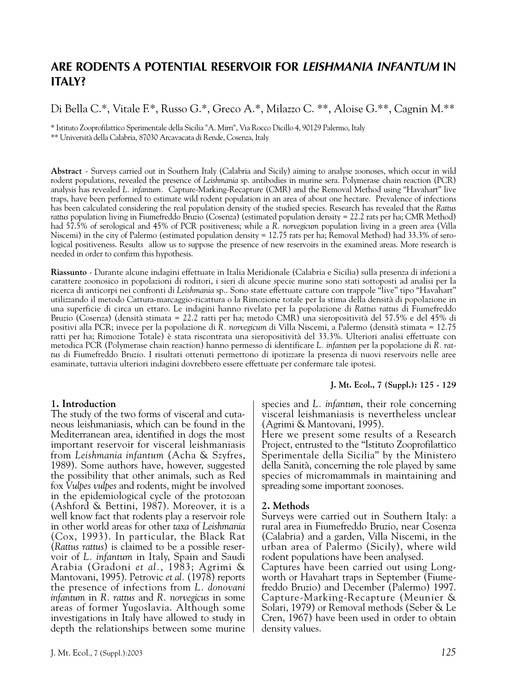# **ARE RODENTS A POTENTIAL RESERVOIR FOR** *LEISHMANIA INFANTUM* **IN ITALY?**

# Di Bella C.\*, Vitale F.\*, Russo G.\*, Greco A.\*, Milazzo C.\*\*, Aloise G.\*\*, Cagnin M.\*\*

\* Istituto Zooprofilattico Sperimentale della Sicilia "A. Mirri", Via Rocco Dicillo 4, 90129 Palermo, Italy \*\* Università della Calabria, 87030 Arcavacata di Rende, Cosenza, Italy

**Abstract** - Surveys carried out in Southern Italy (Calabria and Sicily) aiming to analyse zoonoses, which occur in wild rodent populations, revealed the presence of *Leishmania* sp. antibodies in murine sera. Polymerase chain reaction (PCR) analysis has revealed *L. infantum.* Capture-Marking-Recapture (CMR) and the Removal Method using "Havahart" live traps, have been performed to estimate wild rodent population in an area of about one hectare. Prevalence of infections has been calculated considering the real population density of the studied species. Research has revealed that the *Rattus rattus* population living in Fiumefreddo Bruzio (Cosenza) (estimated population density = 22.2 rats per ha; CMR Method) had 57.5% of serological and 45% of PCR positiveness; while a *R. norvegicum* population living in a green area (Villa Niscemi) in the city of Palermo (estimated population density = 12.75 rats per ha; Removal Method) had 33.3% of serological positiveness. Results allow us to suppose the presence of new reservoirs in the examined areas. More research is needed in order to confirm this hypothesis.

**Riassunto** - Durante alcune indagini effettuate in Italia Meridionale (Calabria e Sicilia) sulla presenza di infezioni a carattere zoonosico in popolazioni di roditori, i sieri di alcune specie murine sono stati sottoposti ad analisi per la ricerca di anticorpi nei confronti di *Leishmania* sp.. Sono state effettuate catture con trappole "live" tipo "Havahart" utilizzando il metodo Cattura-marcaggio-ricattura o la Rimozione totale per la stima della densità di popolazione in una superficie di circa un ettaro. Le indagini hanno rivelato per la popolazione di *Rattus rattus* di Fiumefreddo Bruzio (Cosenza) (densità stimata = 22.2 ratti per ha; metodo CMR) una sieropositività del 57.5% e del 45% di positivi alla PCR; invece per la popolazione di *R. norvegicum* di Villa Niscemi, a Palermo (densità stimata = 12.75 ratti per ha; Rimozione Totale) è stata riscontrata una sieropositività del 33.3%. Ulteriori analisi effettuate con metodica PCR (Polymerase chain reaction) hanno permesso di identificare *L. infantum* per la popolazione di *R. rattus* di Fiumefreddo Bruzio. I risultati ottenuti permettono di ipotizzare la presenza di nuovi reservoirs nelle aree esaminate, tuttavia ulteriori indagini dovrebbero essere effettuate per confermare tale ipotesi.

#### **1. Introduction**

The study of the two forms of visceral and cutaneous leishmaniasis, which can be found in the Mediterranean area, identified in dogs the most important reservoir for visceral leishmaniasis from *Leishmania infantum* (Acha & Szyfres, 1989). Some authors have, however, suggested the possibility that other animals, such as Red fox *Vulpes vulpes* and rodents, might be involved in the epidemiological cycle of the protozoan (Ashford & Bettini, 1987). Moreover, it is a well know fact that rodents play a reservoir role in other world areas for other *taxa* of *Leishmania* (Cox, 1993). In particular, the Black Rat (*Rattus rattus*) is claimed to be a possible reservoir of *L. infantum* in Italy, Spain and Saudi Arabia (Gradoni *et al.*, 1983; Agrimi & Mantovani, 1995). Petrovic *et al.* (1978) reports the presence of infections from *L. donovani infantum* in *R. rattus* and *R. norvegicus* in some areas of former Yugoslavia. Although some investigations in Italy have allowed to study in depth the relationships between some murine

#### **J. Mt. Ecol., 7 (Suppl.): 125 - 129**

species and *L. infantum*, their role concerning visceral leishmaniasis is nevertheless unclear (Agrimi & Mantovani, 1995).

Here we present some results of a Research Project, entrusted to the "Istituto Zooprofilattico Sperimentale della Sicilia" by the Ministero della Sanità, concerning the role played by same species of micromammals in maintaining and spreading some important zoonoses.

#### **2. Methods**

Surveys were carried out in Southern Italy: a rural area in Fiumefreddo Bruzio, near Cosenza (Calabria) and a garden, Villa Niscemi, in the urban area of Palermo (Sicily), where wild rodent populations have been analysed.

Captures have been carried out using Longworth or Havahart traps in September (Fiumefreddo Bruzio) and December (Palermo) 1997. Capture-Marking-Recapture (Meunier & Solari, 1979) or Removal methods (Seber & Le Cren, 1967) have been used in order to obtain density values.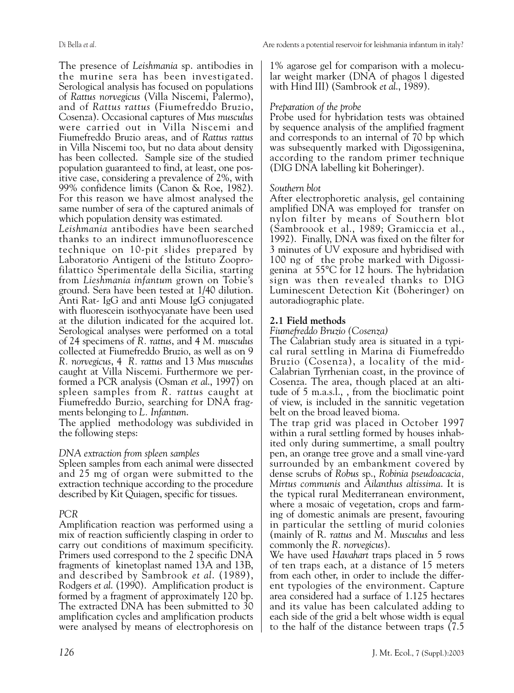The presence of *Leishmania* sp. antibodies in the murine sera has been investigated. Serological analysis has focused on populations of *Rattus norvegicus* (Villa Niscemi, Palermo), and of *Rattus rattus* (Fiumefreddo Bruzio, Cosenza). Occasional captures of *Mus musculus* were carried out in Villa Niscemi and Fiumefreddo Bruzio areas, and of *Rattus rattus* in Villa Niscemi too, but no data about density has been collected. Sample size of the studied population guaranteed to find, at least, one positive case, considering a prevalence of 2%, with 99% confidence limits (Canon & Roe, 1982). For this reason we have almost analysed the same number of sera of the captured animals of which population density was estimated.

*Leishmania* antibodies have been searched thanks to an indirect immunofluorescence technique on 10-pit slides prepared by Laboratorio Antigeni of the Istituto Zooprofilattico Sperimentale della Sicilia, starting from *Lieshmania infantum* grown on Tobie's ground. Sera have been tested at 1/40 dilution. Anti Rat- IgG and anti Mouse IgG conjugated with fluorescein isothyocyanate have been used at the dilution indicated for the acquired lot. Serological analyses were performed on a total of 24 specimens of *R. rattus*, and 4 *M. musculus* collected at Fiumefreddo Bruzio, as well as on 9 *R. norvegicus*, 4 *R. rattus* and 13 *Mus musculus* caught at Villa Niscemi. Furthermore we performed a PCR analysis (Osman *et al*., 1997) on spleen samples from *R. rattu*s caught at Fiumefreddo Burzio, searching for DNA fragments belonging to *L. Infantum*.

The applied methodology was subdivided in the following steps:

# *DNA extraction from spleen samples*

Spleen samples from each animal were dissected and 25 mg of organ were submitted to the extraction technique according to the procedure described by Kit Quiagen, specific for tissues.

# *PCR*

Amplification reaction was performed using a mix of reaction sufficiently clasping in order to carry out conditions of maximum specificity. Primers used correspond to the 2 specific DNA fragments of kinetoplast named 13A and 13B, and described by Sambrook *et al*. (1989), Rodgers *et al*. (1990). Amplification product is formed by a fragment of approximately 120 bp. The extracted DNA has been submitted to 30 amplification cycles and amplification products were analysed by means of electrophoresis on 1% agarose gel for comparison with a molecular weight marker (DNA of phagos l digested with Hind III) (Sambrook *et al*., 1989).

# *Preparation of the probe*

Probe used for hybridation tests was obtained by sequence analysis of the amplified fragment and corresponds to an internal of 70 bp which was subsequently marked with Digossigenina, according to the random primer technique (DIG DNA labelling kit Boheringer).

## *Southern blot*

After electrophoretic analysis, gel containing amplified DNA was employed for transfer on nylon filter by means of Southern blot (Sambroook et al., 1989; Gramiccia et al., 1992). Finally, DNA was fixed on the filter for 3 minutes of UV exposure and hybridised with 100 ng of the probe marked with Digossigenina at 55°C for 12 hours. The hybridation sign was then revealed thanks to DIG Luminescent Detection Kit (Boheringer) on autoradiographic plate.

# **2.1 Field methods**

*Fiumefreddo Bruzio (Cosenza)*

The Calabrian study area is situated in a typical rural settling in Marina di Fiumefreddo Bruzio (Cosenza), a locality of the mid-Calabrian Tyrrhenian coast, in the province of Cosenza. The area, though placed at an altitude of 5 m.a.s.l., , from the bioclimatic point of view, is included in the sannitic vegetation belt on the broad leaved bioma.

The trap grid was placed in October 1997 within a rural settling formed by houses inhabited only during summertime, a small poultry pen, an orange tree grove and a small vine-yard surrounded by an embankment covered by dense scrubs of *Robus* sp., *Robinia pseudoacacia, Mirtus communis* and *Ailanthus altissima*. It is the typical rural Mediterranean environment, where a mosaic of vegetation, crops and farming of domestic animals are present, favouring in particular the settling of murid colonies (mainly of R. *rattus* and *M. Musculus* and less commonly the *R. norvegicus*).

We have used *Havahart* traps placed in 5 rows of ten traps each, at a distance of 15 meters from each other, in order to include the different typologies of the environment. Capture area considered had a surface of 1.125 hectares and its value has been calculated adding to each side of the grid a belt whose width is equal to the half of the distance between traps (7.5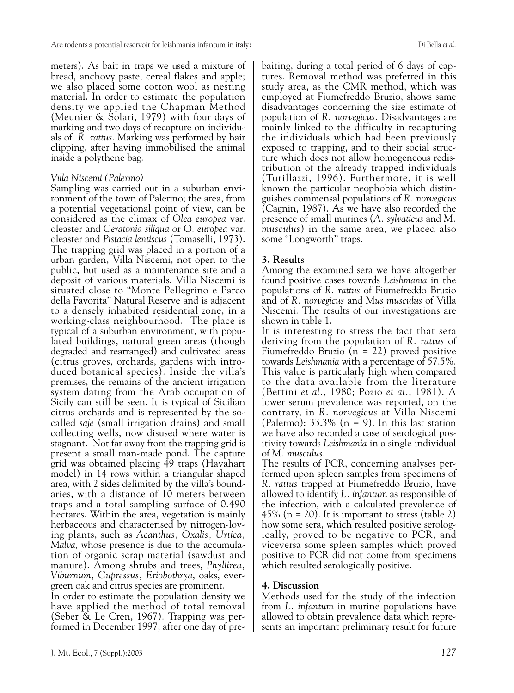meters). As bait in traps we used a mixture of bread, anchovy paste, cereal flakes and apple; we also placed some cotton wool as nesting material. In order to estimate the population density we applied the Chapman Method (Meunier & Solari, 1979) with four days of marking and two days of recapture on individuals of *R. rattus*. Marking was performed by hair clipping, after having immobilised the animal inside a polythene bag.

## *Villa Niscemi (Palermo)*

Sampling was carried out in a suburban environment of the town of Palermo; the area, from a potential vegetational point of view, can be considered as the climax of *Olea europea* var. oleaster and *Ceratonia siliqua* or O. *europea* var. oleaster and *Pistacia lentiscus* (Tomaselli, 1973). The trapping grid was placed in a portion of a urban garden, Villa Niscemi, not open to the public, but used as a maintenance site and a deposit of various materials. Villa Niscemi is situated close to "Monte Pellegrino e Parco della Favorita" Natural Reserve and is adjacent to a densely inhabited residential zone, in a working-class neighbourhood. The place is typical of a suburban environment, with populated buildings, natural green areas (though degraded and rearranged) and cultivated areas (citrus groves, orchards, gardens with introduced botanical species). Inside the villa's premises, the remains of the ancient irrigation system dating from the Arab occupation of Sicily can still be seen. It is typical of Sicilian citrus orchards and is represented by the socalled *saje* (small irrigation drains) and small collecting wells, now disused where water is stagnant. Not far away from the trapping grid is present a small man-made pond. The capture grid was obtained placing 49 traps (Havahart model) in 14 rows within a triangular shaped area, with 2 sides delimited by the villa's boundaries, with a distance of 10 meters between traps and a total sampling surface of 0.490 hectares. Within the area, vegetation is mainly herbaceous and characterised by nitrogen-loving plants, such as *Acanthus, Oxalis, Urtica, Malva*, whose presence is due to the accumulation of organic scrap material (sawdust and manure). Among shrubs and trees, *Phyllirea, Viburnum, Cupressus, Eriobothrya*, oaks, evergreen oak and citrus species are prominent.

In order to estimate the population density we have applied the method of total removal (Seber & Le Cren, 1967). Trapping was performed in December 1997, after one day of pre-

baiting, during a total period of 6 days of captures. Removal method was preferred in this study area, as the CMR method, which was employed at Fiumefreddo Bruzio, shows same disadvantages concerning the size estimate of population of *R. norvegicus*. Disadvantages are mainly linked to the difficulty in recapturing the individuals which had been previously exposed to trapping, and to their social structure which does not allow homogeneous redistribution of the already trapped individuals (Turillazzi, 1996). Furthermore, it is well known the particular neophobia which distinguishes commensal populations of *R. norvegicus* (Cagnin, 1987). As we have also recorded the presence of small murines (*A. sylvaticus* and *M. musculus*) in the same area, we placed also some "Longworth" traps.

# **3. Results**

Among the examined sera we have altogether found positive cases towards *Leishmania* in the populations of *R. rattus* of Fiumefreddo Bruzio and of *R. norvegicus* and *Mus musculus* of Villa Niscemi. The results of our investigations are shown in table 1.

It is interesting to stress the fact that sera deriving from the population of *R. rattus* of Fiumefreddo Bruzio (n = 22) proved positive towards *Leishmania* with a percentage of 57.5%. This value is particularly high when compared to the data available from the literature (Bettini *et al.*, 1980; Pozio *et al.*, 1981). A lower serum prevalence was reported, on the contrary, in *R. norvegicus* at Villa Niscemi (Palermo):  $33.3\%$  (n = 9). In this last station we have also recorded a case of serological positivity towards *Leishmania* in a single individual of *M. musculus*.

The results of PCR, concerning analyses performed upon spleen samples from specimens of *R. rattus* trapped at Fiumefreddo Bruzio, have allowed to identify *L. infantum* as responsible of the infection, with a calculated prevalence of 45% ( $n = 20$ ). It is important to stress (table 2) how some sera, which resulted positive serologically, proved to be negative to PCR, and viceversa some spleen samples which proved positive to PCR did not come from specimens which resulted serologically positive.

# **4. Discussion**

Methods used for the study of the infection from *L. infantum* in murine populations have allowed to obtain prevalence data which represents an important preliminary result for future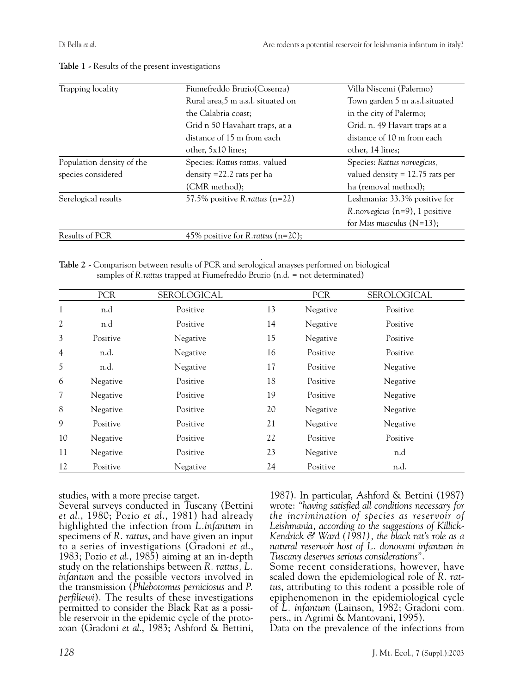| Trapping locality         | Villa Niscemi (Palermo)<br>Fiumefreddo Bruzio (Cosenza) |                                   |
|---------------------------|---------------------------------------------------------|-----------------------------------|
|                           | Rural area,5 m a.s.l. situated on                       | Town garden 5 m a.s.l.situated    |
|                           | the Calabria coast:                                     | in the city of Palermo;           |
|                           | Grid n 50 Havahart traps, at a                          | Grid: n. 49 Havart traps at a     |
|                           | distance of 15 m from each                              | distance of 10 m from each        |
|                           | other, 5x10 lines;                                      | other, 14 lines;                  |
| Population density of the | Species: Rattus rattus, valued                          | Species: Rattus norvegicus,       |
| species considered        | density $=$ 22.2 rats per ha                            | valued density $= 12.75$ rats per |
|                           | (CMR method);                                           | ha (removal method);              |
| Serelogical results       | 57.5% positive $R$ . rattus (n=22)                      | Leshmania: 33.3% positive for     |
|                           |                                                         | $R.norvegicus (n=9), 1 positive$  |
|                           |                                                         | for Mus musculus $(N=13)$ ;       |
| Results of PCR            | 45% positive for R. rattus $(n=20)$ ;                   |                                   |

#### **Table 1 -** Results of the present investigations

**Table 2 -** Comparison between results of PCR and serological anayses performed on biological samples of *R.rattus* trapped at Fiumefreddo Bruzio (n.d. = not determinated)

|    | PCR      | <b>SEROLOGICAL</b> |    | <b>PCR</b> | <b>SEROLOGICAL</b> |
|----|----------|--------------------|----|------------|--------------------|
|    |          |                    |    |            |                    |
| 1  | n.d      | Positive           | 13 | Negative   | Positive           |
| 2  | n.d      | Positive           | 14 | Negative   | Positive           |
| 3  | Positive | Negative           | 15 | Negative   | Positive           |
| 4  | n.d.     | Negative           | 16 | Positive   | Positive           |
| 5  | n.d.     | Negative           | 17 | Positive   | Negative           |
| 6  | Negative | Positive           | 18 | Positive   | Negative           |
| 7  | Negative | Positive           | 19 | Positive   | Negative           |
| 8  | Negative | Positive           | 20 | Negative   | Negative           |
| 9  | Positive | Positive           | 21 | Negative   | Negative           |
| 10 | Negative | Positive           | 22 | Positive   | Positive           |
| 11 | Negative | Positive           | 23 | Negative   | n.d                |
| 12 | Positive | Negative           | 24 | Positive   | n.d.               |

studies, with a more precise target.

Several surveys conducted in Tuscany (Bettini *et al*., 1980; Pozio *et al*., 1981) had already highlighted the infection from *L.infantum* in specimens of *R. rattus*, and have given an input to a series of investigations (Gradoni *et al*., 1983; Pozio *et al*., 1985) aiming at an in-depth study on the relationships between *R. rattus, L. infantum* and the possible vectors involved in the transmission (*Phlebotomus perniciosus* and *P. perfiliewi*). The results of these investigations permitted to consider the Black Rat as a possible reservoir in the epidemic cycle of the protozoan (Gradoni *et al*., 1983; Ashford & Bettini, 1987). In particular, Ashford & Bettini (1987) wrote: *"having satisfied all conditions necessary for the incrimination of species as reservoir of Leishmania, according to the suggestions of Killick-Kendrick & Ward (1981), the black rat's role as a natural reservoir host of L. donovani infantum in Tuscany deserves serious considerations"*.

Some recent considerations, however, have scaled down the epidemiological role of *R. rattus*, attributing to this rodent a possible role of epiphenomenon in the epidemiological cycle of *L. infantum* (Lainson, 1982; Gradoni com. pers., in Agrimi & Mantovani, 1995).

Data on the prevalence of the infections from